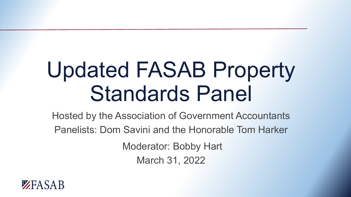# Updated FASAB Property Standards Panel

Hosted by the Association of Government Accountants Panelists: Dom Savini and the Honorable Tom Harker Moderator: Bobby Hart

March 31, 2022

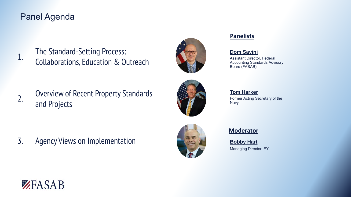### Panel Agenda

1. The Standard-Setting Process: Collaborations, Education & Outreach



2. Overview of Recent Property Standards and Projects



## **Tom Harker**

Assistant Director, Federal Accounting Standards Advisory

**Dom Savini**

**Panelists**

**Panelists**

Board (FASAB)

Former Acting Secretary of the Navy

3. Agency Views on Implementation



#### **Moderator**

**Bobby Hart** Managing Director, EY

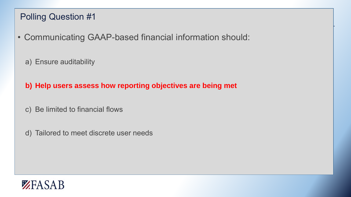## Polling Question #1

- Communicating GAAP-based financial information should:
	- a) Ensure auditability
	- **b) Help users assess how reporting objectives are being met**
	- c) Be limited to financial flows
	- d) Tailored to meet discrete user needs

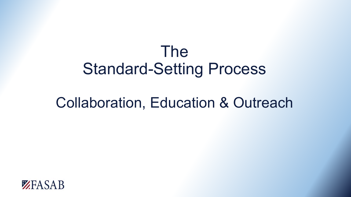## The Standard-Setting Process

## Collaboration, Education & Outreach

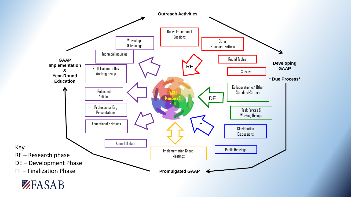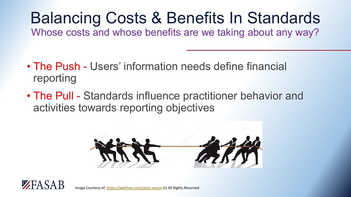# Balancing Costs & Benefits In Standards

Whose costs and whose benefits are we taking about any way?

- The Push Users' information needs define financial reporting
- The Pull Standards influence practitioner behavior and activities towards reporting objectives



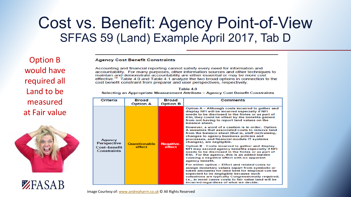## Cost vs. Benefit: Agency Point-of-View SFFAS 59 (Land) Example April 2017, Tab D

Option B would have required all Land to be measured at Fair value



ZEASAB

**Agency Cost Benefit Constraints** 

Accounting and financial reporting cannot satisfy every need for information and accountability. For many purposes, other information sources and other techniques to maintain and demonstrate accountability are either essential or may be more cost effective.<sup>15</sup> Table 4.0 and Table 4.1 analyze the two broad options in connection to the cost benefit constraint from preparer and user perspectives, respectively.

| Table 4.0                                                                        |
|----------------------------------------------------------------------------------|
| Selecting an Appropriate Measurement Attribute – Agency Cost Benefit Constraints |

| Criteria                                                           | <b>Broad</b><br><b>Option A</b> | <b>Broad</b><br><b>Option B</b> | Comments                                                                                                                                                                                                                                                                                                                                                |
|--------------------------------------------------------------------|---------------------------------|---------------------------------|---------------------------------------------------------------------------------------------------------------------------------------------------------------------------------------------------------------------------------------------------------------------------------------------------------------------------------------------------------|
| Agency<br><b>Perspective</b><br>Cost-benefit<br><b>Constraints</b> | <b>Questionable</b><br>effect   | <b>Negative-</b><br>effect      | Option A – Although costs incurred to gather and<br>display NFI will be incurred especially if NFI<br>needs to be disclosed in the Notes or as part of<br>RSI, they could be offset by the benefits gained<br>from not having to report land values on the<br>balance sheet.                                                                            |
|                                                                    |                                 |                                 | However, a word of a caution is in order. Option<br>A assumes that associated costs to remove land<br>from the balance sheet (that is, staff (re)training,<br>changes to agency business policies and<br>processes, and financial module IT systems<br>changes), are negligible.                                                                        |
|                                                                    |                                 |                                 | Option B - Costs incurred to gather and display<br>NFI may exceed agency benefits especially if NFI<br>needs to be disclosed in the Notes or as part of<br>RSI. For the agency, this is an added burden<br>causing a negative effect with no apparent<br>agency benefit.                                                                                |
|                                                                    |                                 |                                 | For either option – Effort and related costs to<br>assign monetary values (apart from symbolic or<br>token amounts) for land held for disposal can be<br>expected to be negligible because such<br>valuations are typically Congressionally required;<br>i.e., in most cases costs to fair value land will be<br>incurred regardless of what we decide. |

Image Courtesy of: [www.andreaharrn.co.uk](http://www.andreaharrn.co.uk/) © All Rights Reserved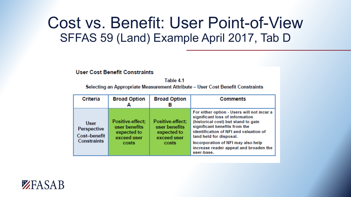## Cost vs. Benefit: User Point-of-View SFFAS 59 (Land) Example April 2017, Tab D

#### **User Cost Benefit Constraints**

Table 4.1 Selecting an Appropriate Measurement Attribute - User Cost Benefit Constraints

| Criteria                                                         | <b>Broad Option</b><br>Α                                                 | <b>Broad Option</b><br>в                                                 | <b>Comments</b>                                                                                                                                                                                                                                                                                                          |
|------------------------------------------------------------------|--------------------------------------------------------------------------|--------------------------------------------------------------------------|--------------------------------------------------------------------------------------------------------------------------------------------------------------------------------------------------------------------------------------------------------------------------------------------------------------------------|
| <b>User</b><br>Perspective<br>Cost-benefit<br><b>Constraints</b> | Positive-effect:<br>user benefits<br>expected to<br>exceed user<br>costs | Positive-effect:<br>user benefits<br>expected to<br>exceed user<br>costs | For either option - Users will not incur a<br>significant loss of information<br>(historical cost) but stand to gain<br>significant benefits from the<br>identification of NFI and valuation of<br>land held for disposal.<br>Incorporation of NFI may also help<br>increase reader appeal and broaden the<br>user-base. |

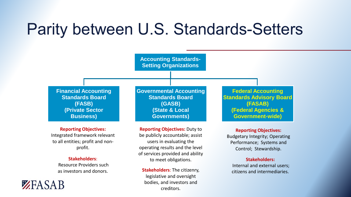## Parity between U.S. Standards-Setters



to meet obligations.

**Stakeholders**: The citizenry, legislative and oversight bodies, and investors and creditors.

**Stakeholders**: Resource Providers such as investors and donors.

ZEASAB

#### **Stakeholders:**

Internal and external users; citizens and intermediaries.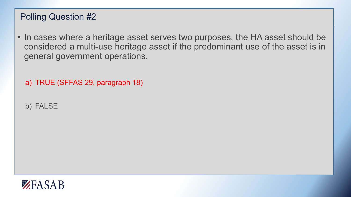## Polling Question #2

- In cases where a heritage asset serves two purposes, the HA asset should be considered a multi-use heritage asset if the predominant use of the asset is in general government operations.
	- a) TRUE (SFFAS 29, paragraph 18)
	- b) FALSE

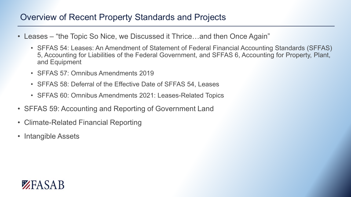### Overview of Recent Property Standards and Projects

- Leases "the Topic So Nice, we Discussed it Thrice...and then Once Again"
	- SFFAS 54: Leases: An Amendment of Statement of Federal Financial Accounting Standards (SFFAS) 5, Accounting for Liabilities of the Federal Government, and SFFAS 6, Accounting for Property, Plant, and Equipment
	- SFFAS 57: Omnibus Amendments 2019
	- SFFAS 58: Deferral of the Effective Date of SFFAS 54, Leases
	- SFFAS 60: Omnibus Amendments 2021: Leases-Related Topics
- SFFAS 59: Accounting and Reporting of Government Land
- Climate-Related Financial Reporting
- Intangible Assets

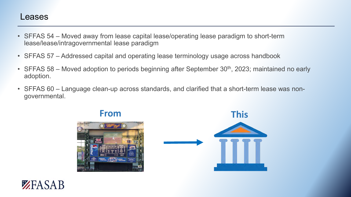### Leases

- SFFAS 54 Moved away from lease capital lease/operating lease paradigm to short-term lease/lease/intragovernmental lease paradigm
- SFFAS 57 Addressed capital and operating lease terminology usage across handbook
- SFFAS 58 Moved adoption to periods beginning after September 30<sup>th</sup>, 2023; maintained no early adoption.
- SFFAS 60 Language clean-up across standards, and clarified that a short-term lease was nongovernmental.



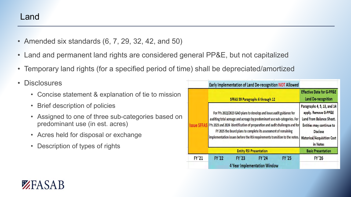- Amended six standards (6, 7, 29, 32, 42, and 50)
- Land and permanent land rights are considered general PP&E, but not capitalized
- Temporary land rights (for a specified period of time) shall be depreciated/amortized
- Disclosures

ZEASAR

- Concise statement & explanation of tie to mission
- Brief description of policies
- Assigned to one of three sub-categories based on predominant use (in est. acres)
- Acres held for disposal or exchange
- Description of types of rights

|              |                                                                                                                                                                                                                                                                                                                                                                                   |                                                                                                                                                                                  |                                                                    | Early Implementation of Land De-recognition NOT Allowed |                           |
|--------------|-----------------------------------------------------------------------------------------------------------------------------------------------------------------------------------------------------------------------------------------------------------------------------------------------------------------------------------------------------------------------------------|----------------------------------------------------------------------------------------------------------------------------------------------------------------------------------|--------------------------------------------------------------------|---------------------------------------------------------|---------------------------|
|              |                                                                                                                                                                                                                                                                                                                                                                                   | SFFAS 59 Paragraphs 6 through 12                                                                                                                                                 | <b>Effective Date for G-PP&amp;E</b><br><b>Land De-recognition</b> |                                                         |                           |
|              | For FYs 2022/2023 GAO plans to develop and issue audit guidance for<br>auditing total acreage and acreage by predominant use sub-categories. For<br>FYs 2023 and 2024 identification of preparation and audit challenges and for<br>FY 2025 the Board plans to complete its assessment of remaining<br>implementation issues before the RSI requirements transition to the notes. | Paragraphs 4, 5, 13, and 14<br>apply. Remove G-PP&E<br>Land from Balance Sheet.<br>Entities may continue to<br><b>Disclose</b><br><b>Historical/Acquisition Cost</b><br>in Notes |                                                                    |                                                         |                           |
|              | <b>Entity RSI Presentation</b>                                                                                                                                                                                                                                                                                                                                                    |                                                                                                                                                                                  |                                                                    |                                                         | <b>Basic Presentation</b> |
| <b>FY'21</b> | <b>FY'22</b>                                                                                                                                                                                                                                                                                                                                                                      | FY '23                                                                                                                                                                           | <b>FY'24</b><br><b>4 Year Implementation Window</b>                | <b>FY '25</b>                                           | <b>FY'26</b>              |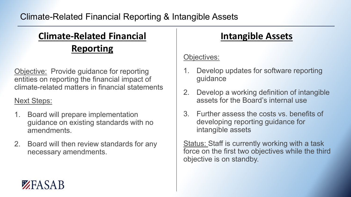## **Climate-Related Financial Intangible Assets Reporting**

Objective: Provide guidance for reporting entities on reporting the financial impact of climate-related matters in financial statements

### Next Steps:

ZEASAB

- 1. Board will prepare implementation guidance on existing standards with no amendments.
- 2. Board will then review standards for any necessary amendments.

### Objectives:

- 1. Develop updates for software reporting guidance
- 2. Develop a working definition of intangible assets for the Board's internal use
- 3. Further assess the costs vs. benefits of developing reporting guidance for intangible assets

**Status: Staff is currently working with a task** force on the first two objectives while the third objective is on standby.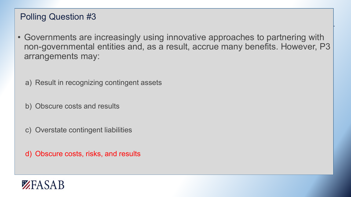## Polling Question #3

- Governments are increasingly using innovative approaches to partnering with non-governmental entities and, as a result, accrue many benefits. However, P3 arrangements may:
	- a) Result in recognizing contingent assets
	- b) Obscure costs and results
	- c) Overstate contingent liabilities
	- d) Obscure costs, risks, and results

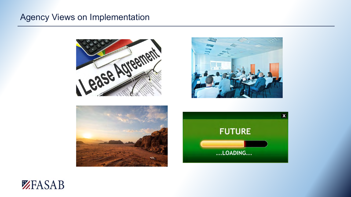### Agency Views on Implementation









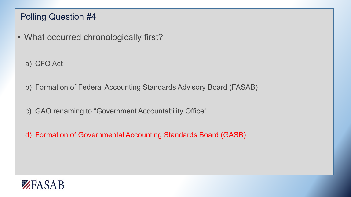## Polling Question #4

- What occurred chronologically first?
	- a) CFO Act
	- b) Formation of Federal Accounting Standards Advisory Board (FASAB)
	- c) GAO renaming to "Government Accountability Office"
	- d) Formation of Governmental Accounting Standards Board (GASB)

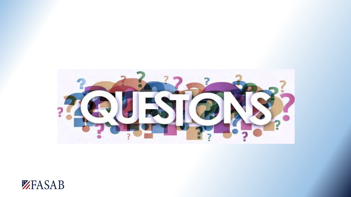

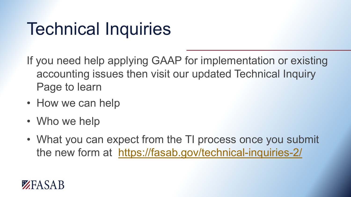# Technical Inquiries

If you need help applying GAAP for implementation or existing accounting issues then visit our updated Technical Inquiry Page to learn

- How we can help
- Who we help
- What you can expect from the TI process once you submit the new form at <https://fasab.gov/technical-inquiries-2/>

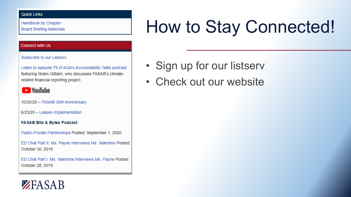#### **Quick Links**

Handbook by Chapter **Board Briefing Materials** 

#### **Connect with Us**

#### Subscribe to our Listserv

Listen to episode 79 of AGA's Accountability Talks podcast featuring Robin Gilliam, who discusses FASAB's climaterelated financial reporting project.

### **D** YouTube

10/20/20 - FASAB 30th Anniversary

6/23/20 - Leases Implementation

#### **FASAB Bits & Bytes Podcast**

Public-Private Partnerships Posted: September 1, 2020

ED Chat Part II: Ms. Payne Interviews Ms. Valentine Posted: October 30, 2019

ED Chat Part I: Ms. Valentine Interviews Ms. Payne Posted: October 28, 2019

## ZEASAB

# How to Stay Connected!

- Sign up for our listserv
- Check out our website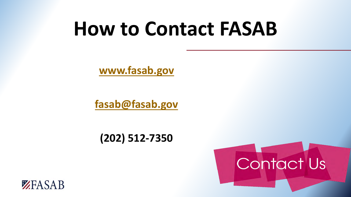# **How to Contact FASAB**

**[www.fasab.gov](http://www.fasab.gov/)**

**[fasab@fasab.gov](mailto:fasab@fasab.gov)**

**(202) 512-7350**



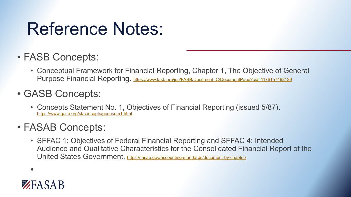# Reference Notes:

- FASB Concepts:
	- Conceptual Framework for Financial Reporting, Chapter 1, The Objective of General Purpose Financial Reporting. [https://www.fasb.org/jsp/FASB/Document\\_C/DocumentPage?cid=1176157498129](https://www.fasb.org/jsp/FASB/Document_C/DocumentPage?cid=1176157498129)
- GASB Concepts:
	- Concepts Statement No. 1, Objectives of Financial Reporting (issued 5/87). <https://www.gasb.org/st/concepts/gconsum1.html>
- FASAB Concepts:
	- SFFAC 1: Objectives of Federal Financial Reporting and SFFAC 4: Intended Audience and Qualitative Characteristics for the Consolidated Financial Report of the United States Government. <https://fasab.gov/accounting-standards/document-by-chapter/>

•